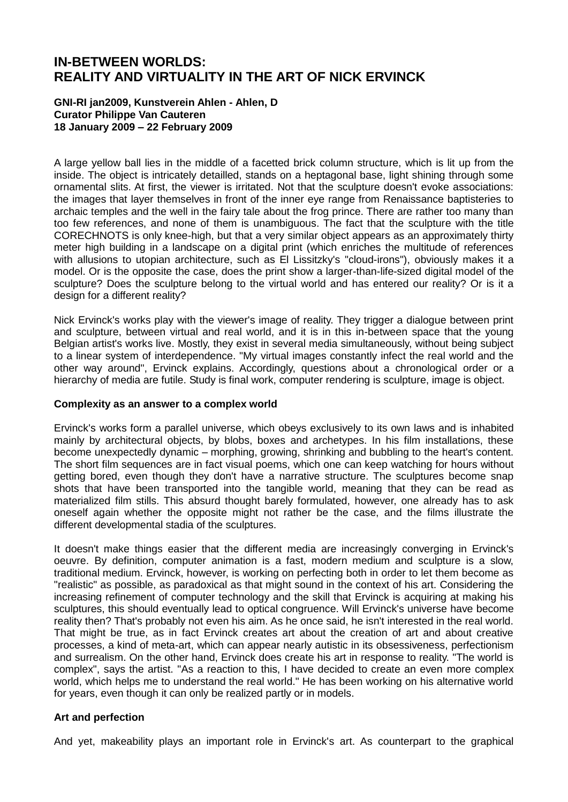# **IN-BETWEEN WORLDS: REALITY AND VIRTUALITY IN THE ART OF NICK ERVINCK**

#### **GNI-RI jan2009, Kunstverein Ahlen - Ahlen, D Curator Philippe Van Cauteren 18 January 2009 – 22 February 2009**

A large yellow ball lies in the middle of a facetted brick column structure, which is lit up from the inside. The object is intricately detailled, stands on a heptagonal base, light shining through some ornamental slits. At first, the viewer is irritated. Not that the sculpture doesn't evoke associations: the images that layer themselves in front of the inner eye range from Renaissance baptisteries to archaic temples and the well in the fairy tale about the frog prince. There are rather too many than too few references, and none of them is unambiguous. The fact that the sculpture with the title CORECHNOTS is only knee-high, but that a very similar object appears as an approximately thirty meter high building in a landscape on a digital print (which enriches the multitude of references with allusions to utopian architecture, such as El Lissitzky's "cloud-irons"), obviously makes it a model. Or is the opposite the case, does the print show a larger-than-life-sized digital model of the sculpture? Does the sculpture belong to the virtual world and has entered our reality? Or is it a design for a different reality?

Nick Ervinck's works play with the viewer's image of reality. They trigger a dialogue between print and sculpture, between virtual and real world, and it is in this in-between space that the young Belgian artist's works live. Mostly, they exist in several media simultaneously, without being subject to a linear system of interdependence. "My virtual images constantly infect the real world and the other way around", Ervinck explains. Accordingly, questions about a chronological order or a hierarchy of media are futile. Study is final work, computer rendering is sculpture, image is object.

#### **Complexity as an answer to a complex world**

Ervinck's works form a parallel universe, which obeys exclusively to its own laws and is inhabited mainly by architectural objects, by blobs, boxes and archetypes. In his film installations, these become unexpectedly dynamic – morphing, growing, shrinking and bubbling to the heart's content. The short film sequences are in fact visual poems, which one can keep watching for hours without getting bored, even though they don't have a narrative structure. The sculptures become snap shots that have been transported into the tangible world, meaning that they can be read as materialized film stills. This absurd thought barely formulated, however, one already has to ask oneself again whether the opposite might not rather be the case, and the films illustrate the different developmental stadia of the sculptures.

It doesn't make things easier that the different media are increasingly converging in Ervinck's oeuvre. By definition, computer animation is a fast, modern medium and sculpture is a slow, traditional medium. Ervinck, however, is working on perfecting both in order to let them become as "realistic" as possible, as paradoxical as that might sound in the context of his art. Considering the increasing refinement of computer technology and the skill that Ervinck is acquiring at making his sculptures, this should eventually lead to optical congruence. Will Ervinck's universe have become reality then? That's probably not even his aim. As he once said, he isn't interested in the real world. That might be true, as in fact Ervinck creates art about the creation of art and about creative processes, a kind of meta-art, which can appear nearly autistic in its obsessiveness, perfectionism and surrealism. On the other hand, Ervinck does create his art in response to reality. "The world is complex", says the artist. "As a reaction to this, I have decided to create an even more complex world, which helps me to understand the real world." He has been working on his alternative world for years, even though it can only be realized partly or in models.

## **Art and perfection**

And yet, makeability plays an important role in Ervinck's art. As counterpart to the graphical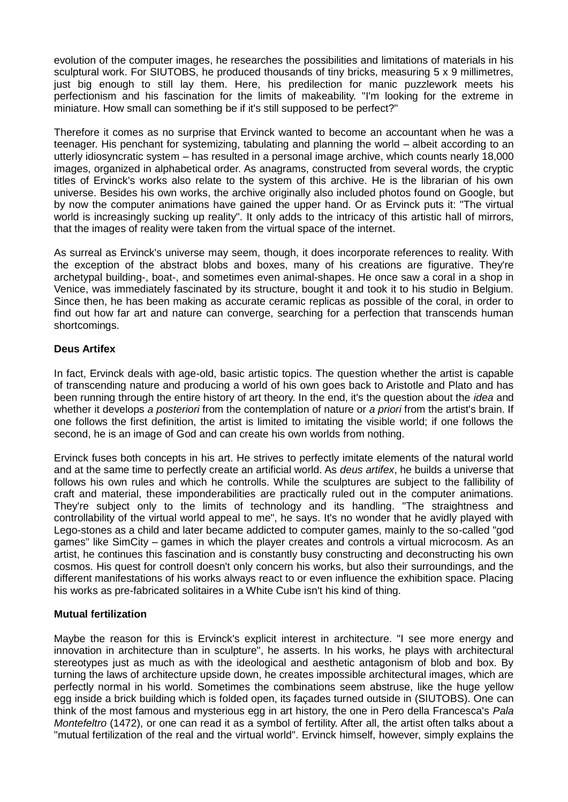evolution of the computer images, he researches the possibilities and limitations of materials in his sculptural work. For SIUTOBS, he produced thousands of tiny bricks, measuring 5 x 9 millimetres, just big enough to still lay them. Here, his predilection for manic puzzlework meets his perfectionism and his fascination for the limits of makeability. "I'm looking for the extreme in miniature. How small can something be if it's still supposed to be perfect?"

Therefore it comes as no surprise that Ervinck wanted to become an accountant when he was a teenager. His penchant for systemizing, tabulating and planning the world – albeit according to an utterly idiosyncratic system – has resulted in a personal image archive, which counts nearly 18,000 images, organized in alphabetical order. As anagrams, constructed from several words, the cryptic titles of Ervinck's works also relate to the system of this archive. He is the librarian of his own universe. Besides his own works, the archive originally also included photos found on Google, but by now the computer animations have gained the upper hand. Or as Ervinck puts it: "The virtual world is increasingly sucking up reality". It only adds to the intricacy of this artistic hall of mirrors, that the images of reality were taken from the virtual space of the internet.

As surreal as Ervinck's universe may seem, though, it does incorporate references to reality. With the exception of the abstract blobs and boxes, many of his creations are figurative. They're archetypal building-, boat-, and sometimes even animal-shapes. He once saw a coral in a shop in Venice, was immediately fascinated by its structure, bought it and took it to his studio in Belgium. Since then, he has been making as accurate ceramic replicas as possible of the coral, in order to find out how far art and nature can converge, searching for a perfection that transcends human shortcomings.

# **Deus Artifex**

In fact, Ervinck deals with age-old, basic artistic topics. The question whether the artist is capable of transcending nature and producing a world of his own goes back to Aristotle and Plato and has been running through the entire history of art theory. In the end, it's the question about the *idea* and whether it develops *a posteriori* from the contemplation of nature or *a priori* from the artist's brain. If one follows the first definition, the artist is limited to imitating the visible world; if one follows the second, he is an image of God and can create his own worlds from nothing.

Ervinck fuses both concepts in his art. He strives to perfectly imitate elements of the natural world and at the same time to perfectly create an artificial world. As *deus artifex*, he builds a universe that follows his own rules and which he controlls. While the sculptures are subject to the fallibility of craft and material, these imponderabilities are practically ruled out in the computer animations. They're subject only to the limits of technology and its handling. "The straightness and controllability of the virtual world appeal to me", he says. It's no wonder that he avidly played with Lego-stones as a child and later became addicted to computer games, mainly to the so-called "god games" like SimCity – games in which the player creates and controls a virtual microcosm. As an artist, he continues this fascination and is constantly busy constructing and deconstructing his own cosmos. His quest for controll doesn't only concern his works, but also their surroundings, and the different manifestations of his works always react to or even influence the exhibition space. Placing his works as pre-fabricated solitaires in a White Cube isn't his kind of thing.

## **Mutual fertilization**

Maybe the reason for this is Ervinck's explicit interest in architecture. "I see more energy and innovation in architecture than in sculpture", he asserts. In his works, he plays with architectural stereotypes just as much as with the ideological and aesthetic antagonism of blob and box. By turning the laws of architecture upside down, he creates impossible architectural images, which are perfectly normal in his world. Sometimes the combinations seem abstruse, like the huge yellow egg inside a brick building which is folded open, its façades turned outside in (SIUTOBS). One can think of the most famous and mysterious egg in art history, the one in Pero della Francesca's *Pala Montefeltro* (1472), or one can read it as a symbol of fertility. After all, the artist often talks about a "mutual fertilization of the real and the virtual world". Ervinck himself, however, simply explains the